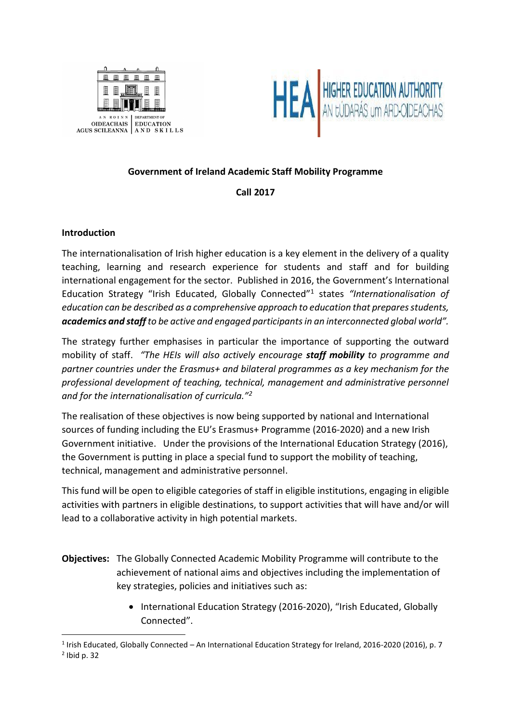



# **Government of Ireland Academic Staff Mobility Programme**

# **Call 2017**

# **Introduction**

The internationalisation of Irish higher education is a key element in the delivery of a quality teaching, learning and research experience for students and staff and for building international engagement for the sector. Published in 2016, the Government's International Education Strategy "Irish Educated, Globally Connected"<sup>1</sup> states *"Internationalisation of education can be described as a comprehensive approach to education that prepares students, academics and staff to be active and engaged participants in an interconnected global world".*

The strategy further emphasises in particular the importance of supporting the outward mobility of staff. *"The HEIs will also actively encourage staff mobility to programme and partner countries under the Erasmus+ and bilateral programmes as a key mechanism for the professional development of teaching, technical, management and administrative personnel and for the internationalisation of curricula."<sup>2</sup>*

The realisation of these objectives is now being supported by national and International sources of funding including the EU's Erasmus+ Programme (2016-2020) and a new Irish Government initiative. Under the provisions of the International Education Strategy (2016), the Government is putting in place a special fund to support the mobility of teaching, technical, management and administrative personnel.

This fund will be open to eligible categories of staff in eligible institutions, engaging in eligible activities with partners in eligible destinations, to support activities that will have and/or will lead to a collaborative activity in high potential markets.

- **Objectives:** The Globally Connected Academic Mobility Programme will contribute to the achievement of national aims and objectives including the implementation of key strategies, policies and initiatives such as:
	- International Education Strategy (2016-2020), "Irish Educated, Globally Connected".

 $\overline{a}$ <sup>1</sup> Irish Educated, Globally Connected – An International Education Strategy for Ireland, 2016-2020 (2016), p. 7 2 Ibid p. 32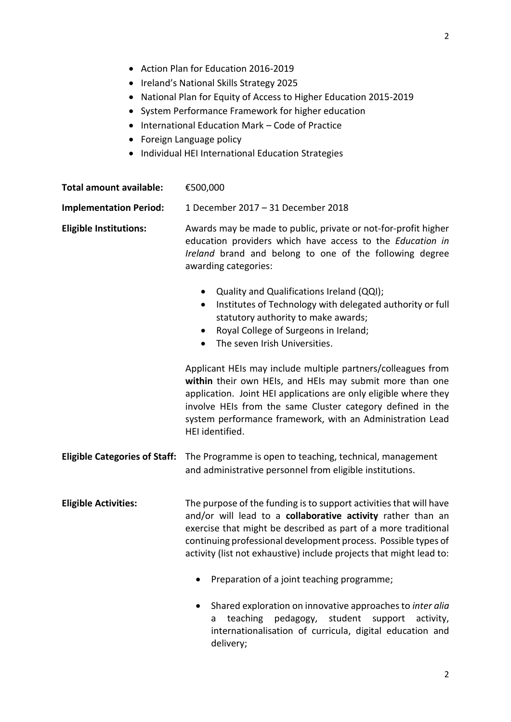- Action Plan for Education 2016-2019
- Ireland's National Skills Strategy 2025
- National Plan for Equity of Access to Higher Education 2015-2019
- System Performance Framework for higher education
- International Education Mark Code of Practice
- Foreign Language policy
- Individual HEI International Education Strategies

| <b>Total amount available:</b>       | €500,000                                                                                                                                                                                                                                                                                                                                     |
|--------------------------------------|----------------------------------------------------------------------------------------------------------------------------------------------------------------------------------------------------------------------------------------------------------------------------------------------------------------------------------------------|
| <b>Implementation Period:</b>        | 1 December 2017 - 31 December 2018                                                                                                                                                                                                                                                                                                           |
| <b>Eligible Institutions:</b>        | Awards may be made to public, private or not-for-profit higher<br>education providers which have access to the Education in<br>Ireland brand and belong to one of the following degree<br>awarding categories:                                                                                                                               |
|                                      | Quality and Qualifications Ireland (QQI);<br>Institutes of Technology with delegated authority or full<br>$\bullet$<br>statutory authority to make awards;<br>Royal College of Surgeons in Ireland;<br>$\bullet$<br>The seven Irish Universities.                                                                                            |
|                                      | Applicant HEIs may include multiple partners/colleagues from<br>within their own HEIs, and HEIs may submit more than one<br>application. Joint HEI applications are only eligible where they<br>involve HEIs from the same Cluster category defined in the<br>system performance framework, with an Administration Lead<br>HEI identified.   |
| <b>Eligible Categories of Staff:</b> | The Programme is open to teaching, technical, management<br>and administrative personnel from eligible institutions.                                                                                                                                                                                                                         |
| <b>Eligible Activities:</b>          | The purpose of the funding is to support activities that will have<br>and/or will lead to a collaborative activity rather than an<br>exercise that might be described as part of a more traditional<br>continuing professional development process. Possible types of<br>activity (list not exhaustive) include projects that might lead to: |
|                                      | Preparation of a joint teaching programme;                                                                                                                                                                                                                                                                                                   |
|                                      | Shared exploration on innovative approaches to inter alia<br>pedagogy,<br>student<br>teaching<br>support<br>activity,<br>a<br>internationalisation of curricula, digital education and<br>delivery;                                                                                                                                          |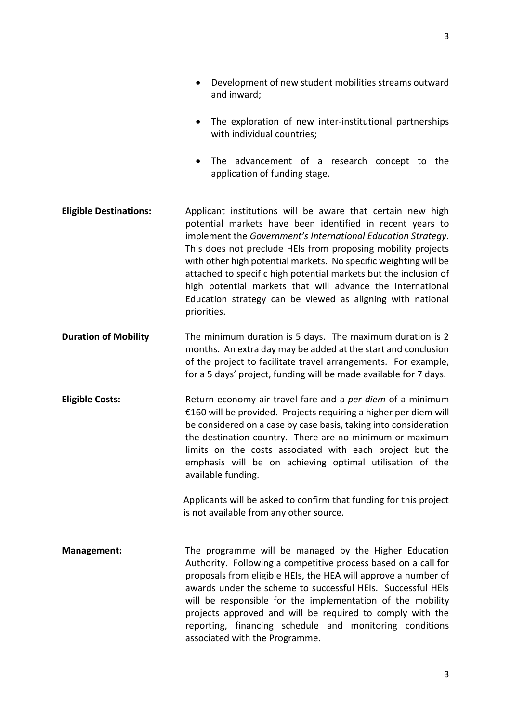- Development of new student mobilities streams outward and inward;
- The exploration of new inter-institutional partnerships with individual countries;
- The advancement of a research concept to the application of funding stage.
- **Eligible Destinations:** Applicant institutions will be aware that certain new high potential markets have been identified in recent years to implement the *Government's International Education Strategy*. This does not preclude HEIs from proposing mobility projects with other high potential markets. No specific weighting will be attached to specific high potential markets but the inclusion of high potential markets that will advance the International Education strategy can be viewed as aligning with national priorities.
- **Duration of Mobility** The minimum duration is 5 days. The maximum duration is 2 months. An extra day may be added at the start and conclusion of the project to facilitate travel arrangements. For example, for a 5 days' project, funding will be made available for 7 days.
- **Eligible Costs:** Return economy air travel fare and a *per diem* of a minimum €160 will be provided. Projects requiring a higher per diem will be considered on a case by case basis, taking into consideration the destination country. There are no minimum or maximum limits on the costs associated with each project but the emphasis will be on achieving optimal utilisation of the available funding.

Applicants will be asked to confirm that funding for this project is not available from any other source.

**Management:** The programme will be managed by the Higher Education Authority. Following a competitive process based on a call for proposals from eligible HEIs, the HEA will approve a number of awards under the scheme to successful HEIs. Successful HEIs will be responsible for the implementation of the mobility projects approved and will be required to comply with the reporting, financing schedule and monitoring conditions associated with the Programme.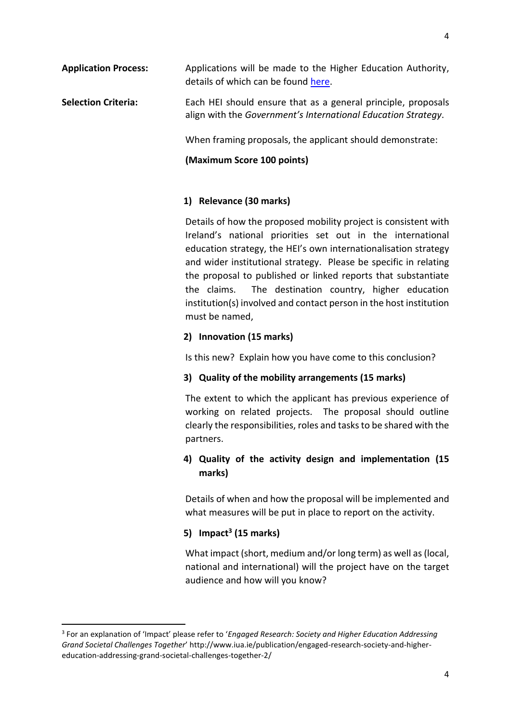**Application Process:** Applications will be made to the Higher Education Authority, details of which can be found [here.](http://eurireland.ie/2017/10/06/ministers-launch-new-international-academic-mobility-programme/)

## **Selection Criteria:** Each HEI should ensure that as a general principle, proposals align with the *Government's International Education Strategy*.

When framing proposals, the applicant should demonstrate:

### **(Maximum Score 100 points)**

## **1) Relevance (30 marks)**

Details of how the proposed mobility project is consistent with Ireland's national priorities set out in the international education strategy, the HEI's own internationalisation strategy and wider institutional strategy. Please be specific in relating the proposal to published or linked reports that substantiate the claims. The destination country, higher education institution(s) involved and contact person in the host institution must be named,

### **2) Innovation (15 marks)**

Is this new? Explain how you have come to this conclusion?

#### **3) Quality of the mobility arrangements (15 marks)**

The extent to which the applicant has previous experience of working on related projects. The proposal should outline clearly the responsibilities, roles and tasks to be shared with the partners.

# **4) Quality of the activity design and implementation (15 marks)**

Details of when and how the proposal will be implemented and what measures will be put in place to report on the activity.

## **5) Impact<sup>3</sup> (15 marks)**

**.** 

What impact (short, medium and/or long term) as well as (local, national and international) will the project have on the target audience and how will you know?

<sup>3</sup> For an explanation of 'Impact' please refer to '*Engaged Research: Society and Higher Education Addressing Grand Societal Challenges Together*' http://www.iua.ie/publication/engaged-research-society-and-highereducation-addressing-grand-societal-challenges-together-2/